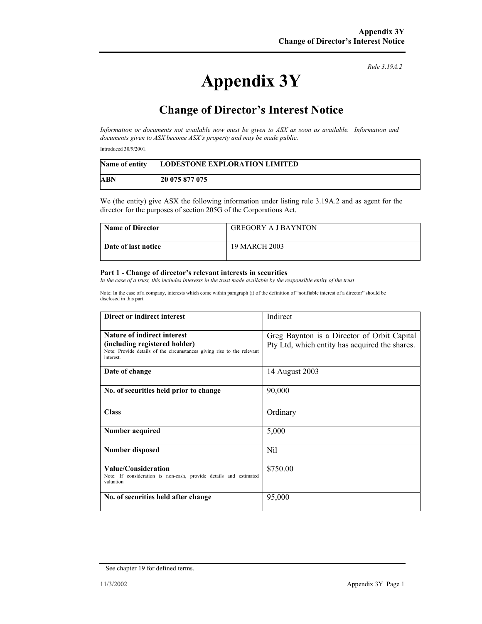#### *Rule 3.19A.2*

# **Appendix 3Y**

## **Change of Director's Interest Notice**

*Information or documents not available now must be given to ASX as soon as available. Information and documents given to ASX become ASX's property and may be made public.* 

Introduced 30/9/2001.

| <b>Name of entity</b> | <b>LODESTONE EXPLORATION LIMITED</b> |
|-----------------------|--------------------------------------|
| <b>ABN</b>            | 20 075 877 075                       |

We (the entity) give ASX the following information under listing rule 3.19A.2 and as agent for the director for the purposes of section 205G of the Corporations Act.

| <b>Name of Director</b> | <b>GREGORY A J BAYNTON</b> |
|-------------------------|----------------------------|
| Date of last notice     | 19 MARCH 2003              |

### **Part 1 - Change of director's relevant interests in securities**

*In the case of a trust, this includes interests in the trust made available by the responsible entity of the trust* 

Note: In the case of a company, interests which come within paragraph (i) of the definition of "notifiable interest of a director" should be disclosed in this part.

| Direct or indirect interest                                                                                                                               | Indirect                                                                                      |
|-----------------------------------------------------------------------------------------------------------------------------------------------------------|-----------------------------------------------------------------------------------------------|
| <b>Nature of indirect interest</b><br>(including registered holder)<br>Note: Provide details of the circumstances giving rise to the relevant<br>interest | Greg Baynton is a Director of Orbit Capital<br>Pty Ltd, which entity has acquired the shares. |
| Date of change                                                                                                                                            | 14 August 2003                                                                                |
| No. of securities held prior to change                                                                                                                    | 90,000                                                                                        |
| <b>Class</b>                                                                                                                                              | Ordinary                                                                                      |
| Number acquired                                                                                                                                           | 5,000                                                                                         |
| Number disposed                                                                                                                                           | <b>Nil</b>                                                                                    |
| Value/Consideration<br>Note: If consideration is non-cash, provide details and estimated<br>valuation                                                     | \$750.00                                                                                      |
| No. of securities held after change                                                                                                                       | 95,000                                                                                        |

<sup>+</sup> See chapter 19 for defined terms.